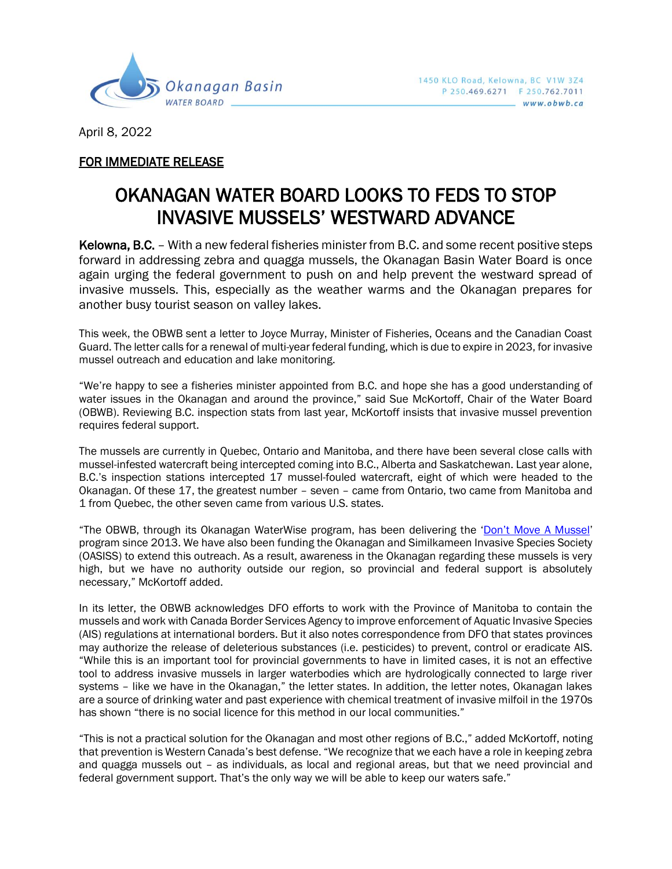

April 8, 2022

## FOR IMMEDIATE RELEASE

## OKANAGAN WATER BOARD LOOKS TO FEDS TO STOP INVASIVE MUSSELS' WESTWARD ADVANCE

Kelowna, B.C. – With a new federal fisheries minister from B.C. and some recent positive steps forward in addressing zebra and quagga mussels, the Okanagan Basin Water Board is once again urging the federal government to push on and help prevent the westward spread of invasive mussels. This, especially as the weather warms and the Okanagan prepares for another busy tourist season on valley lakes.

This week, the OBWB sent a letter to Joyce Murray, Minister of Fisheries, Oceans and the Canadian Coast Guard. The letter calls for a renewal of multi-year federal funding, which is due to expire in 2023, for invasive mussel outreach and education and lake monitoring.

"We're happy to see a fisheries minister appointed from B.C. and hope she has a good understanding of water issues in the Okanagan and around the province," said Sue McKortoff, Chair of the Water Board (OBWB). Reviewing B.C. inspection stats from last year, McKortoff insists that invasive mussel prevention requires federal support.

The mussels are currently in Quebec, Ontario and Manitoba, and there have been several close calls with mussel-infested watercraft being intercepted coming into B.C., Alberta and Saskatchewan. Last year alone, B.C.'s inspection stations intercepted 17 mussel-fouled watercraft, eight of which were headed to the Okanagan. Of these 17, the greatest number – seven – came from Ontario, two came from Manitoba and 1 from Quebec, the other seven came from various U.S. states.

"The OBWB, through its Okanagan WaterWise program, has been delivering the ['Don't Move A Mussel'](https://dontmoveamussel.ca/) program since 2013. We have also been funding the Okanagan and Similkameen Invasive Species Society (OASISS) to extend this outreach. As a result, awareness in the Okanagan regarding these mussels is very high, but we have no authority outside our region, so provincial and federal support is absolutely necessary," McKortoff added.

In its letter, the OBWB acknowledges DFO efforts to work with the Province of Manitoba to contain the mussels and work with Canada Border Services Agency to improve enforcement of Aquatic Invasive Species (AIS) regulations at international borders. But it also notes correspondence from DFO that states provinces may authorize the release of deleterious substances (i.e. pesticides) to prevent, control or eradicate AIS. "While this is an important tool for provincial governments to have in limited cases, it is not an effective tool to address invasive mussels in larger waterbodies which are hydrologically connected to large river systems – like we have in the Okanagan," the letter states. In addition, the letter notes, Okanagan lakes are a source of drinking water and past experience with chemical treatment of invasive milfoil in the 1970s has shown "there is no social licence for this method in our local communities."

"This is not a practical solution for the Okanagan and most other regions of B.C.," added McKortoff, noting that prevention is Western Canada's best defense. "We recognize that we each have a role in keeping zebra and quagga mussels out – as individuals, as local and regional areas, but that we need provincial and federal government support. That's the only way we will be able to keep our waters safe."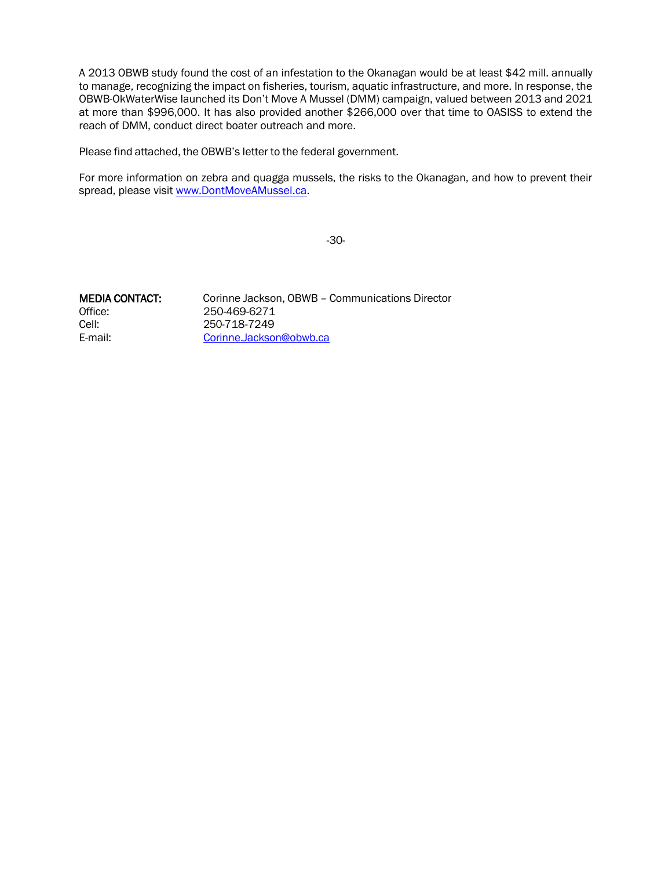A 2013 OBWB study found the cost of an infestation to the Okanagan would be at least \$42 mill. annually to manage, recognizing the impact on fisheries, tourism, aquatic infrastructure, and more. In response, the OBWB-OkWaterWise launched its Don't Move A Mussel (DMM) campaign, valued between 2013 and 2021 at more than \$996,000. It has also provided another \$266,000 over that time to OASISS to extend the reach of DMM, conduct direct boater outreach and more.

Please find attached, the OBWB's letter to the federal government.

For more information on zebra and quagga mussels, the risks to the Okanagan, and how to prevent their spread, please visit [www.DontMoveAMussel.ca.](http://www.dontmoveamussel.ca/)

-30-

Office: 250-469-6271 Cell: 250-718-7249

MEDIA CONTACT: Corinne Jackson, OBWB – Communications Director E-mail: [Corinne.Jackson@obwb.ca](mailto:Corinne.Jackson@obwb.ca)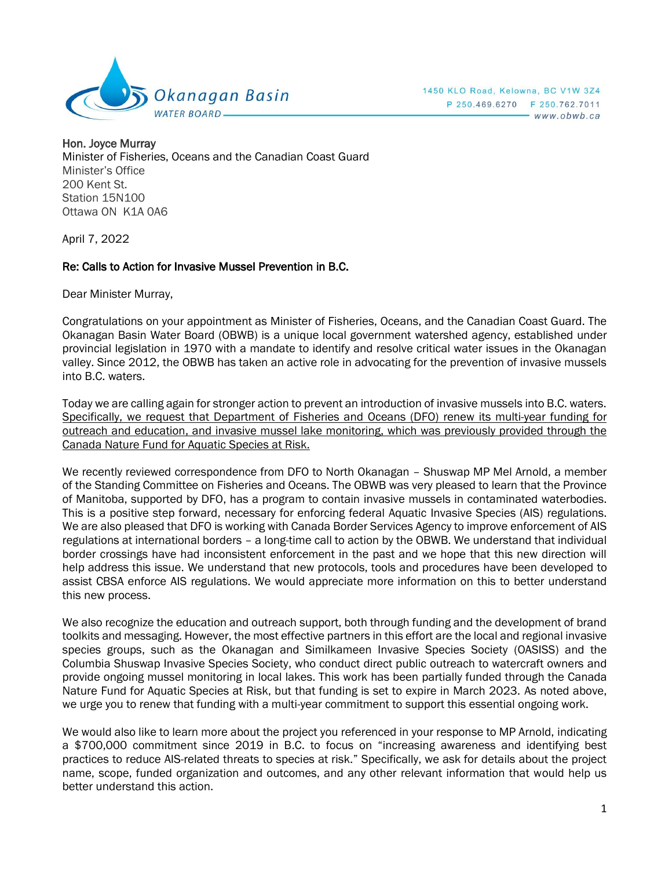

Hon. Joyce Murray Minister of Fisheries, Oceans and the Canadian Coast Guard Minister's Office 200 Kent St. Station 15N100 Ottawa ON K1A 0A6

April 7, 2022

## Re: Calls to Action for Invasive Mussel Prevention in B.C.

Dear Minister Murray,

Congratulations on your appointment as Minister of Fisheries, Oceans, and the Canadian Coast Guard. The Okanagan Basin Water Board (OBWB) is a unique local government watershed agency, established under provincial legislation in 1970 with a mandate to identify and resolve critical water issues in the Okanagan valley. Since 2012, the OBWB has taken an active role in advocating for the prevention of invasive mussels into B.C. waters.

Today we are calling again for stronger action to prevent an introduction of invasive mussels into B.C. waters. Specifically, we request that Department of Fisheries and Oceans (DFO) renew its multi-year funding for outreach and education, and invasive mussel lake monitoring, which was previously provided through the Canada Nature Fund for Aquatic Species at Risk.

We recently reviewed correspondence from DFO to North Okanagan – Shuswap MP Mel Arnold, a member of the Standing Committee on Fisheries and Oceans. The OBWB was very pleased to learn that the Province of Manitoba, supported by DFO, has a program to contain invasive mussels in contaminated waterbodies. This is a positive step forward, necessary for enforcing federal Aquatic Invasive Species (AIS) regulations. We are also pleased that DFO is working with Canada Border Services Agency to improve enforcement of AIS regulations at international borders – a long-time call to action by the OBWB. We understand that individual border crossings have had inconsistent enforcement in the past and we hope that this new direction will help address this issue. We understand that new protocols, tools and procedures have been developed to assist CBSA enforce AIS regulations. We would appreciate more information on this to better understand this new process.

We also recognize the education and outreach support, both through funding and the development of brand toolkits and messaging. However, the most effective partners in this effort are the local and regional invasive species groups, such as the Okanagan and Similkameen Invasive Species Society (OASISS) and the Columbia Shuswap Invasive Species Society, who conduct direct public outreach to watercraft owners and provide ongoing mussel monitoring in local lakes. This work has been partially funded through the Canada Nature Fund for Aquatic Species at Risk, but that funding is set to expire in March 2023. As noted above, we urge you to renew that funding with a multi-year commitment to support this essential ongoing work.

We would also like to learn more about the project you referenced in your response to MP Arnold, indicating a \$700,000 commitment since 2019 in B.C. to focus on "increasing awareness and identifying best practices to reduce AIS-related threats to species at risk." Specifically, we ask for details about the project name, scope, funded organization and outcomes, and any other relevant information that would help us better understand this action.